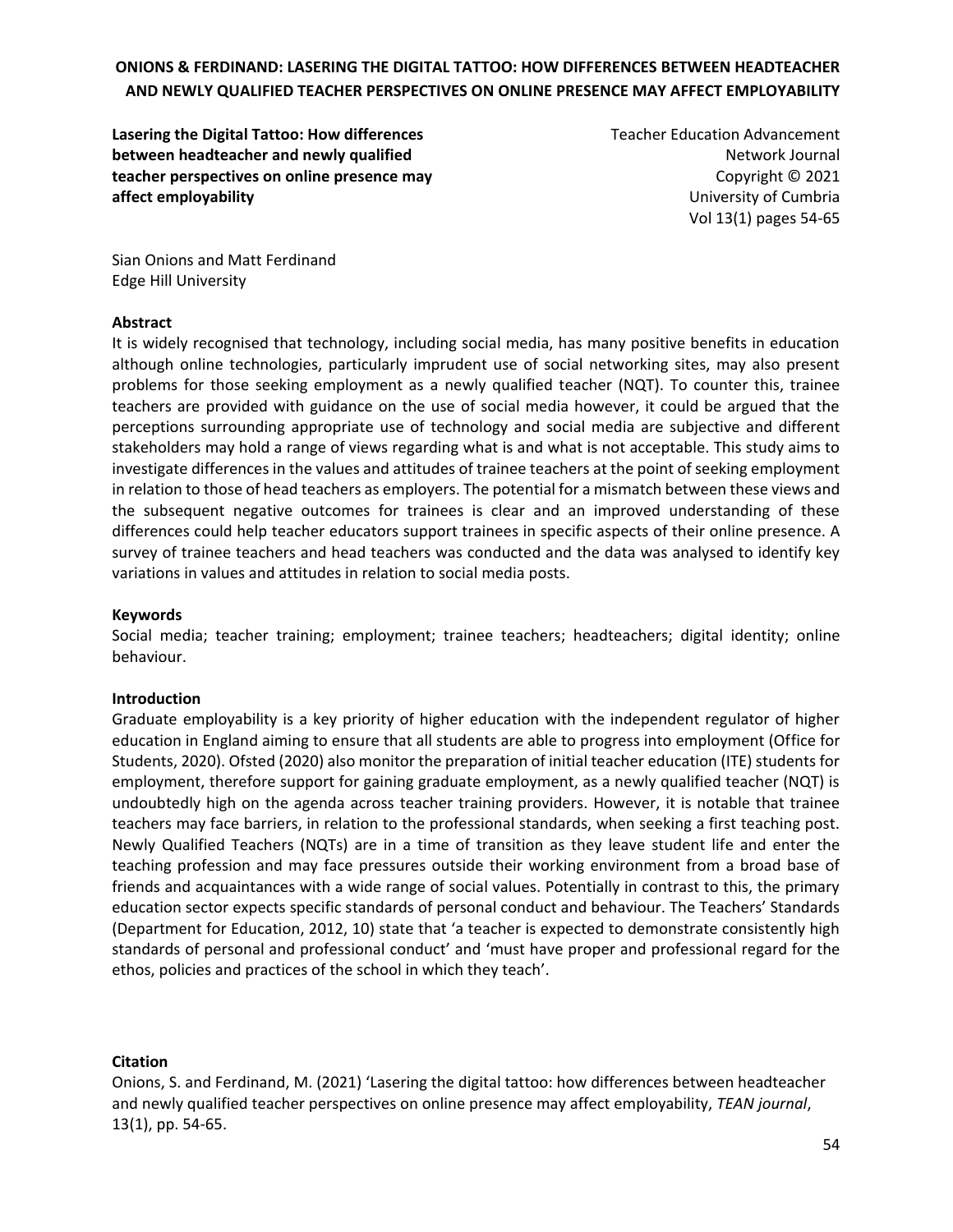**Lasering the Digital Tattoo: How differences between headteacher and newly qualified teacher perspectives on online presence may affect employability**

Teacher Education Advancement Network Journal Copyright © 2021 University of Cumbria Vol 13(1) pages 54-65

Sian Onions and Matt Ferdinand Edge Hill University

#### **Abstract**

It is widely recognised that technology, including social media, has many positive benefits in education although online technologies, particularly imprudent use of social networking sites, may also present problems for those seeking employment as a newly qualified teacher (NQT). To counter this, trainee teachers are provided with guidance on the use of social media however, it could be argued that the perceptions surrounding appropriate use of technology and social media are subjective and different stakeholders may hold a range of views regarding what is and what is not acceptable. This study aims to investigate differences in the values and attitudes of trainee teachers at the point of seeking employment in relation to those of head teachers as employers. The potential for a mismatch between these views and the subsequent negative outcomes for trainees is clear and an improved understanding of these differences could help teacher educators support trainees in specific aspects of their online presence. A survey of trainee teachers and head teachers was conducted and the data was analysed to identify key variations in values and attitudes in relation to social media posts.

#### **Keywords**

Social media; teacher training; employment; trainee teachers; headteachers; digital identity; online behaviour.

#### **Introduction**

Graduate employability is a key priority of higher education with the independent regulator of higher education in England aiming to ensure that all students are able to progress into employment (Office for Students, 2020). Ofsted (2020) also monitor the preparation of initial teacher education (ITE) students for employment, therefore support for gaining graduate employment, as a newly qualified teacher (NQT) is undoubtedly high on the agenda across teacher training providers. However, it is notable that trainee teachers may face barriers, in relation to the professional standards, when seeking a first teaching post. Newly Qualified Teachers (NQTs) are in a time of transition as they leave student life and enter the teaching profession and may face pressures outside their working environment from a broad base of friends and acquaintances with a wide range of social values. Potentially in contrast to this, the primary education sector expects specific standards of personal conduct and behaviour. The Teachers' Standards (Department for Education, 2012, 10) state that 'a teacher is expected to demonstrate consistently high standards of personal and professional conduct' and 'must have proper and professional regard for the ethos, policies and practices of the school in which they teach'.

#### **Citation**

Onions, S. and Ferdinand, M. (2021) 'Lasering the digital tattoo: how differences between headteacher and newly qualified teacher perspectives on online presence may affect employability, *TEAN journal*, 13(1), pp. 54-65.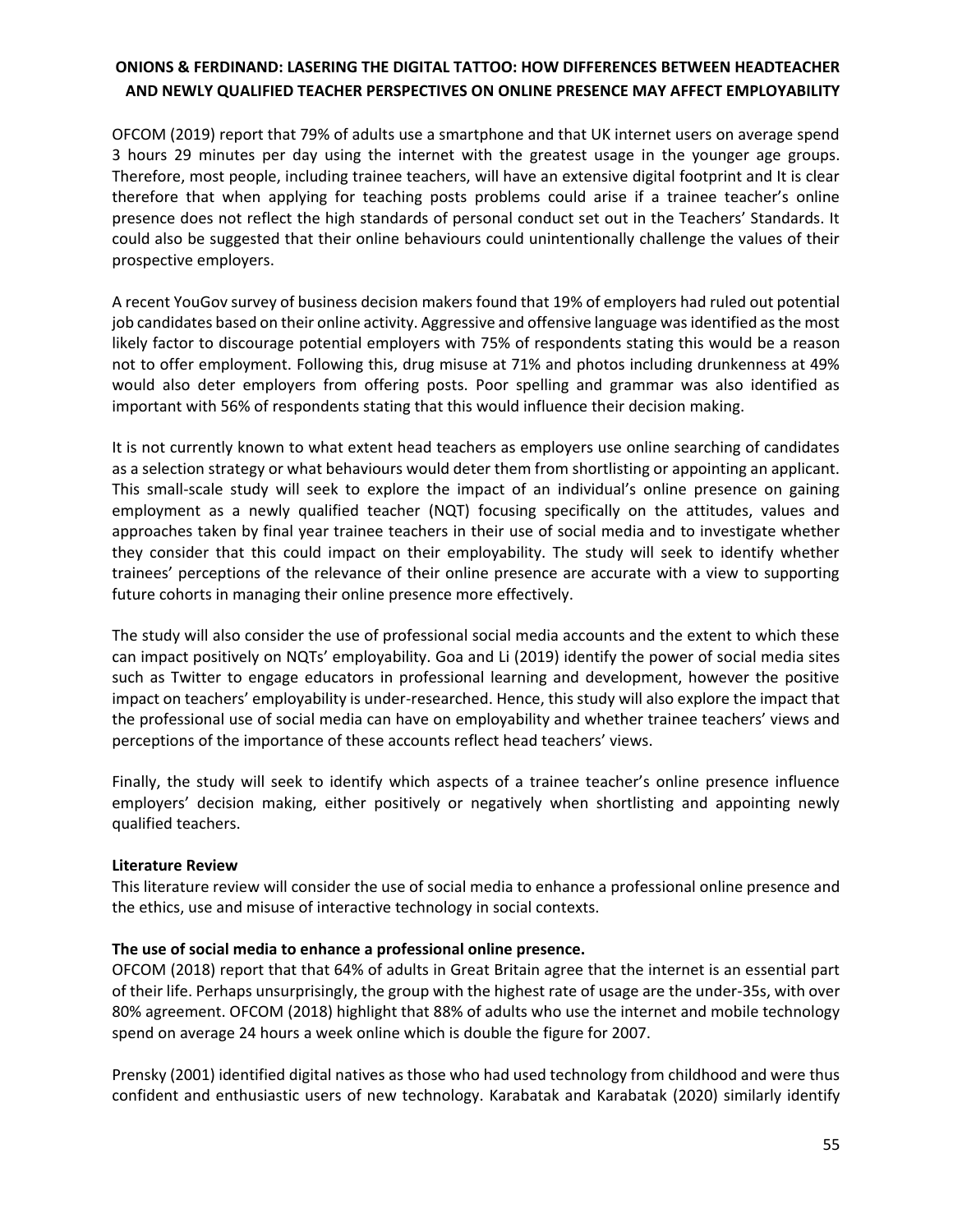OFCOM (2019) report that 79% of adults use a smartphone and that UK internet users on average spend 3 hours 29 minutes per day using the internet with the greatest usage in the younger age groups. Therefore, most people, including trainee teachers, will have an extensive digital footprint and It is clear therefore that when applying for teaching posts problems could arise if a trainee teacher's online presence does not reflect the high standards of personal conduct set out in the Teachers' Standards. It could also be suggested that their online behaviours could unintentionally challenge the values of their prospective employers.

A recent YouGov survey of business decision makers found that 19% of employers had ruled out potential job candidates based on their online activity. Aggressive and offensive language was identified as the most likely factor to discourage potential employers with 75% of respondents stating this would be a reason not to offer employment. Following this, drug misuse at 71% and photos including drunkenness at 49% would also deter employers from offering posts. Poor spelling and grammar was also identified as important with 56% of respondents stating that this would influence their decision making.

It is not currently known to what extent head teachers as employers use online searching of candidates as a selection strategy or what behaviours would deter them from shortlisting or appointing an applicant. This small-scale study will seek to explore the impact of an individual's online presence on gaining employment as a newly qualified teacher (NQT) focusing specifically on the attitudes, values and approaches taken by final year trainee teachers in their use of social media and to investigate whether they consider that this could impact on their employability. The study will seek to identify whether trainees' perceptions of the relevance of their online presence are accurate with a view to supporting future cohorts in managing their online presence more effectively.

The study will also consider the use of professional social media accounts and the extent to which these can impact positively on NQTs' employability. Goa and Li (2019) identify the power of social media sites such as Twitter to engage educators in professional learning and development, however the positive impact on teachers' employability is under-researched. Hence, this study will also explore the impact that the professional use of social media can have on employability and whether trainee teachers' views and perceptions of the importance of these accounts reflect head teachers' views.

Finally, the study will seek to identify which aspects of a trainee teacher's online presence influence employers' decision making, either positively or negatively when shortlisting and appointing newly qualified teachers.

### **Literature Review**

This literature review will consider the use of social media to enhance a professional online presence and the ethics, use and misuse of interactive technology in social contexts.

### **The use of social media to enhance a professional online presence.**

OFCOM (2018) report that that 64% of adults in Great Britain agree that the internet is an essential part of their life. Perhaps unsurprisingly, the group with the highest rate of usage are the under-35s, with over 80% agreement. OFCOM (2018) highlight that 88% of adults who use the internet and mobile technology spend on average 24 hours a week online which is double the figure for 2007.

Prensky (2001) identified digital natives as those who had used technology from childhood and were thus confident and enthusiastic users of new technology. Karabatak and Karabatak (2020) similarly identify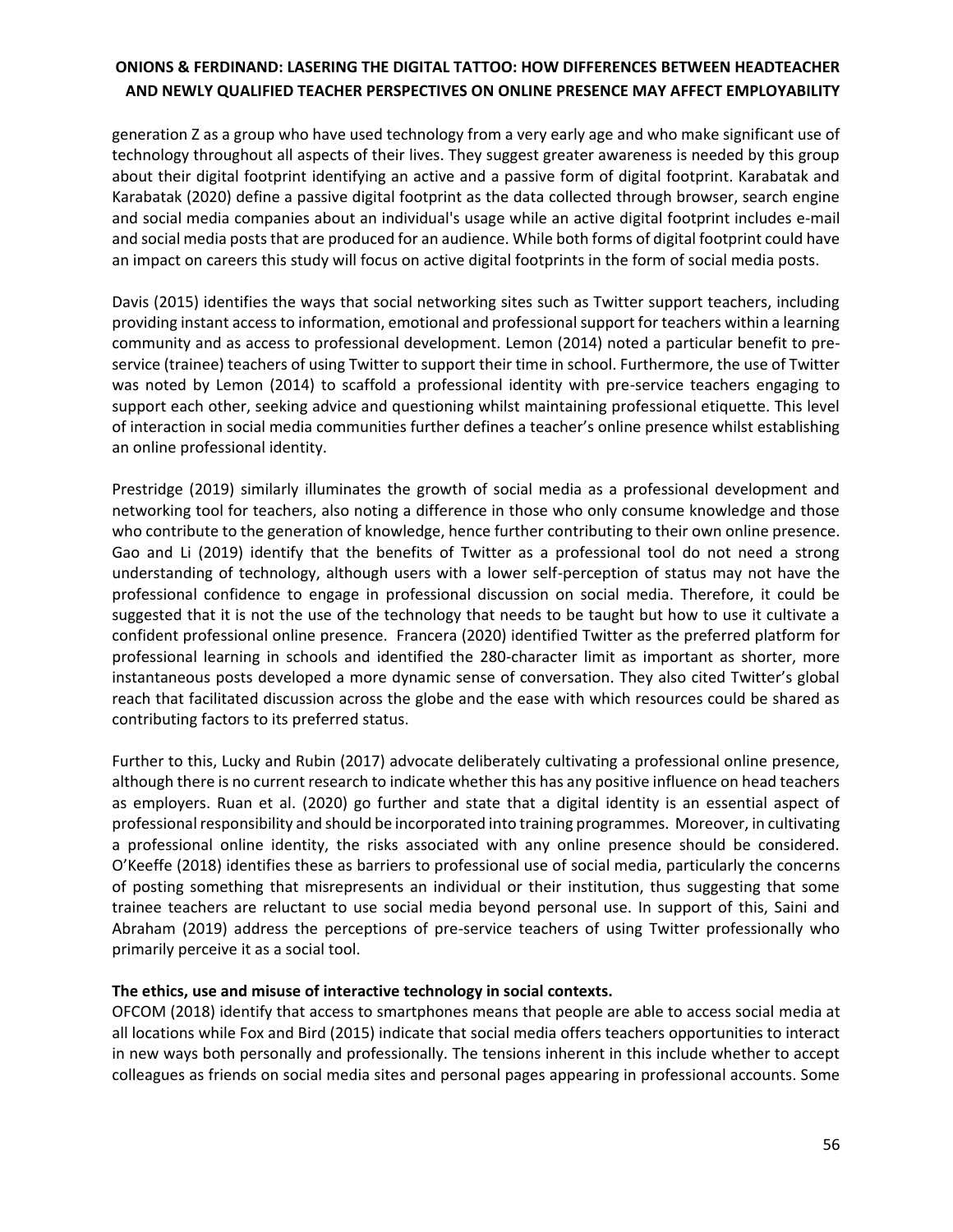generation Z as a group who have used technology from a very early age and who make significant use of technology throughout all aspects of their lives. They suggest greater awareness is needed by this group about their digital footprint identifying an active and a passive form of digital footprint. Karabatak and Karabatak (2020) define a passive digital footprint as the data collected through browser, search engine and social media companies about an individual's usage while an active digital footprint includes e-mail and social media posts that are produced for an audience. While both forms of digital footprint could have an impact on careers this study will focus on active digital footprints in the form of social media posts.

Davis (2015) identifies the ways that social networking sites such as Twitter support teachers, including providing instant access to information, emotional and professional support for teachers within a learning community and as access to professional development. Lemon (2014) noted a particular benefit to preservice (trainee) teachers of using Twitter to support their time in school. Furthermore, the use of Twitter was noted by Lemon (2014) to scaffold a professional identity with pre-service teachers engaging to support each other, seeking advice and questioning whilst maintaining professional etiquette. This level of interaction in social media communities further defines a teacher's online presence whilst establishing an online professional identity.

Prestridge (2019) similarly illuminates the growth of social media as a professional development and networking tool for teachers, also noting a difference in those who only consume knowledge and those who contribute to the generation of knowledge, hence further contributing to their own online presence. Gao and Li (2019) identify that the benefits of Twitter as a professional tool do not need a strong understanding of technology, although users with a lower self-perception of status may not have the professional confidence to engage in professional discussion on social media. Therefore, it could be suggested that it is not the use of the technology that needs to be taught but how to use it cultivate a confident professional online presence. Francera (2020) identified Twitter as the preferred platform for professional learning in schools and identified the 280-character limit as important as shorter, more instantaneous posts developed a more dynamic sense of conversation. They also cited Twitter's global reach that facilitated discussion across the globe and the ease with which resources could be shared as contributing factors to its preferred status.

Further to this, Lucky and Rubin (2017) advocate deliberately cultivating a professional online presence, although there is no current research to indicate whether this has any positive influence on head teachers as employers. Ruan et al. (2020) go further and state that a digital identity is an essential aspect of professional responsibility and should be incorporated into training programmes. Moreover, in cultivating a professional online identity, the risks associated with any online presence should be considered. O'Keeffe (2018) identifies these as barriers to professional use of social media, particularly the concerns of posting something that misrepresents an individual or their institution, thus suggesting that some trainee teachers are reluctant to use social media beyond personal use. In support of this, Saini and Abraham (2019) address the perceptions of pre-service teachers of using Twitter professionally who primarily perceive it as a social tool.

### **The ethics, use and misuse of interactive technology in social contexts.**

OFCOM (2018) identify that access to smartphones means that people are able to access social media at all locations while Fox and Bird (2015) indicate that social media offers teachers opportunities to interact in new ways both personally and professionally. The tensions inherent in this include whether to accept colleagues as friends on social media sites and personal pages appearing in professional accounts. Some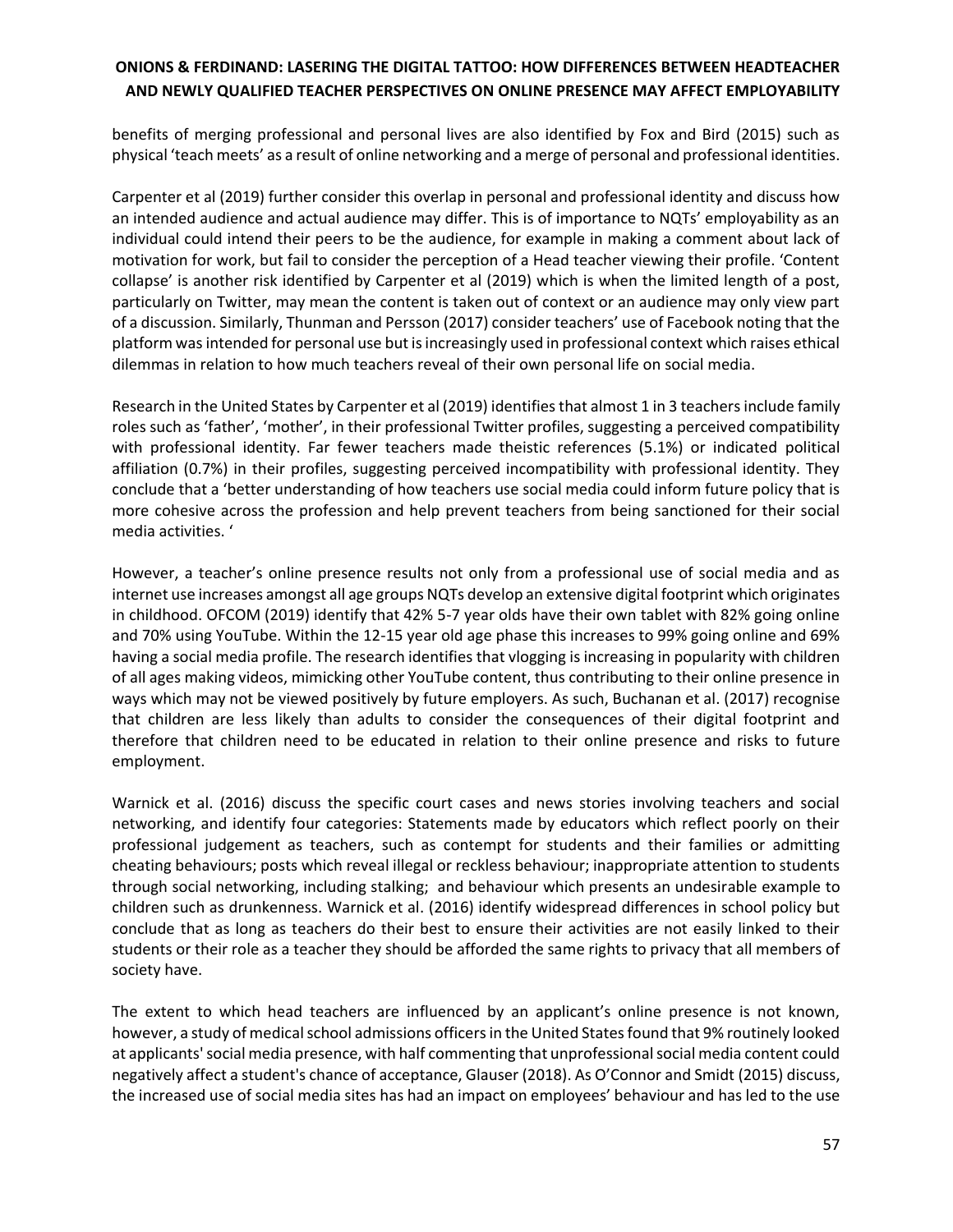benefits of merging professional and personal lives are also identified by Fox and Bird (2015) such as physical 'teach meets' as a result of online networking and a merge of personal and professional identities.

Carpenter et al (2019) further consider this overlap in personal and professional identity and discuss how an intended audience and actual audience may differ. This is of importance to NQTs' employability as an individual could intend their peers to be the audience, for example in making a comment about lack of motivation for work, but fail to consider the perception of a Head teacher viewing their profile. 'Content collapse' is another risk identified by Carpenter et al (2019) which is when the limited length of a post, particularly on Twitter, may mean the content is taken out of context or an audience may only view part of a discussion. Similarly, Thunman and Persson (2017) consider teachers' use of Facebook noting that the platform was intended for personal use but is increasingly used in professional context which raises ethical dilemmas in relation to how much teachers reveal of their own personal life on social media.

Research in the United States by Carpenter et al (2019) identifies that almost 1 in 3 teachers include family roles such as 'father', 'mother', in their professional Twitter profiles, suggesting a perceived compatibility with professional identity. Far fewer teachers made theistic references (5.1%) or indicated political affiliation (0.7%) in their profiles, suggesting perceived incompatibility with professional identity. They conclude that a 'better understanding of how teachers use social media could inform future policy that is more cohesive across the profession and help prevent teachers from being sanctioned for their social media activities. '

However, a teacher's online presence results not only from a professional use of social media and as internet use increases amongst all age groups NQTs develop an extensive digital footprint which originates in childhood. OFCOM (2019) identify that 42% 5-7 year olds have their own tablet with 82% going online and 70% using YouTube. Within the 12-15 year old age phase this increases to 99% going online and 69% having a social media profile. The research identifies that vlogging is increasing in popularity with children of all ages making videos, mimicking other YouTube content, thus contributing to their online presence in ways which may not be viewed positively by future employers. As such, Buchanan et al. (2017) recognise that children are less likely than adults to consider the consequences of their digital footprint and therefore that children need to be educated in relation to their online presence and risks to future employment.

Warnick et al. (2016) discuss the specific court cases and news stories involving teachers and social networking, and identify four categories: Statements made by educators which reflect poorly on their professional judgement as teachers, such as contempt for students and their families or admitting cheating behaviours; posts which reveal illegal or reckless behaviour; inappropriate attention to students through social networking, including stalking; and behaviour which presents an undesirable example to children such as drunkenness. Warnick et al. (2016) identify widespread differences in school policy but conclude that as long as teachers do their best to ensure their activities are not easily linked to their students or their role as a teacher they should be afforded the same rights to privacy that all members of society have.

The extent to which head teachers are influenced by an applicant's online presence is not known, however, a study of medical school admissions officers in the United States found that 9% routinely looked at applicants' social media presence, with half commenting that unprofessional social media content could negatively affect a student's chance of acceptance, Glauser (2018). As O'Connor and Smidt (2015) discuss, the increased use of social media sites has had an impact on employees' behaviour and has led to the use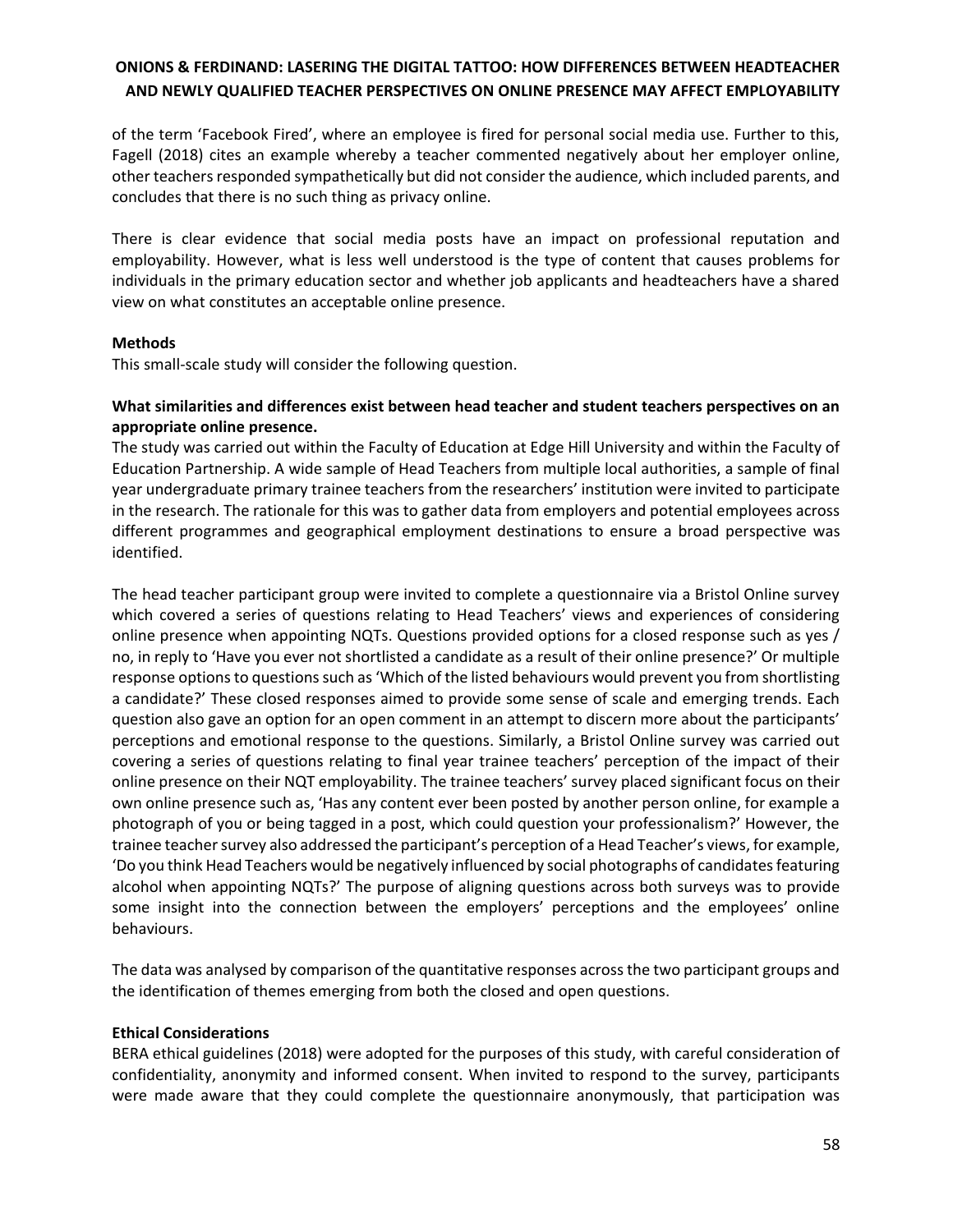of the term 'Facebook Fired', where an employee is fired for personal social media use. Further to this, Fagell (2018) cites an example whereby a teacher commented negatively about her employer online, other teachers responded sympathetically but did not consider the audience, which included parents, and concludes that there is no such thing as privacy online.

There is clear evidence that social media posts have an impact on professional reputation and employability. However, what is less well understood is the type of content that causes problems for individuals in the primary education sector and whether job applicants and headteachers have a shared view on what constitutes an acceptable online presence.

### **Methods**

This small-scale study will consider the following question.

### **What similarities and differences exist between head teacher and student teachers perspectives on an appropriate online presence.**

The study was carried out within the Faculty of Education at Edge Hill University and within the Faculty of Education Partnership. A wide sample of Head Teachers from multiple local authorities, a sample of final year undergraduate primary trainee teachers from the researchers' institution were invited to participate in the research. The rationale for this was to gather data from employers and potential employees across different programmes and geographical employment destinations to ensure a broad perspective was identified.

The head teacher participant group were invited to complete a questionnaire via a Bristol Online survey which covered a series of questions relating to Head Teachers' views and experiences of considering online presence when appointing NQTs. Questions provided options for a closed response such as yes / no, in reply to 'Have you ever not shortlisted a candidate as a result of their online presence?' Or multiple response options to questions such as 'Which of the listed behaviours would prevent you from shortlisting a candidate?' These closed responses aimed to provide some sense of scale and emerging trends. Each question also gave an option for an open comment in an attempt to discern more about the participants' perceptions and emotional response to the questions. Similarly, a Bristol Online survey was carried out covering a series of questions relating to final year trainee teachers' perception of the impact of their online presence on their NQT employability. The trainee teachers' survey placed significant focus on their own online presence such as, 'Has any content ever been posted by another person online, for example a photograph of you or being tagged in a post, which could question your professionalism?' However, the trainee teacher survey also addressed the participant's perception of a Head Teacher's views, for example, 'Do you think Head Teachers would be negatively influenced by social photographs of candidates featuring alcohol when appointing NQTs?' The purpose of aligning questions across both surveys was to provide some insight into the connection between the employers' perceptions and the employees' online behaviours.

The data was analysed by comparison of the quantitative responses across the two participant groups and the identification of themes emerging from both the closed and open questions.

#### **Ethical Considerations**

BERA ethical guidelines (2018) were adopted for the purposes of this study, with careful consideration of confidentiality, anonymity and informed consent. When invited to respond to the survey, participants were made aware that they could complete the questionnaire anonymously, that participation was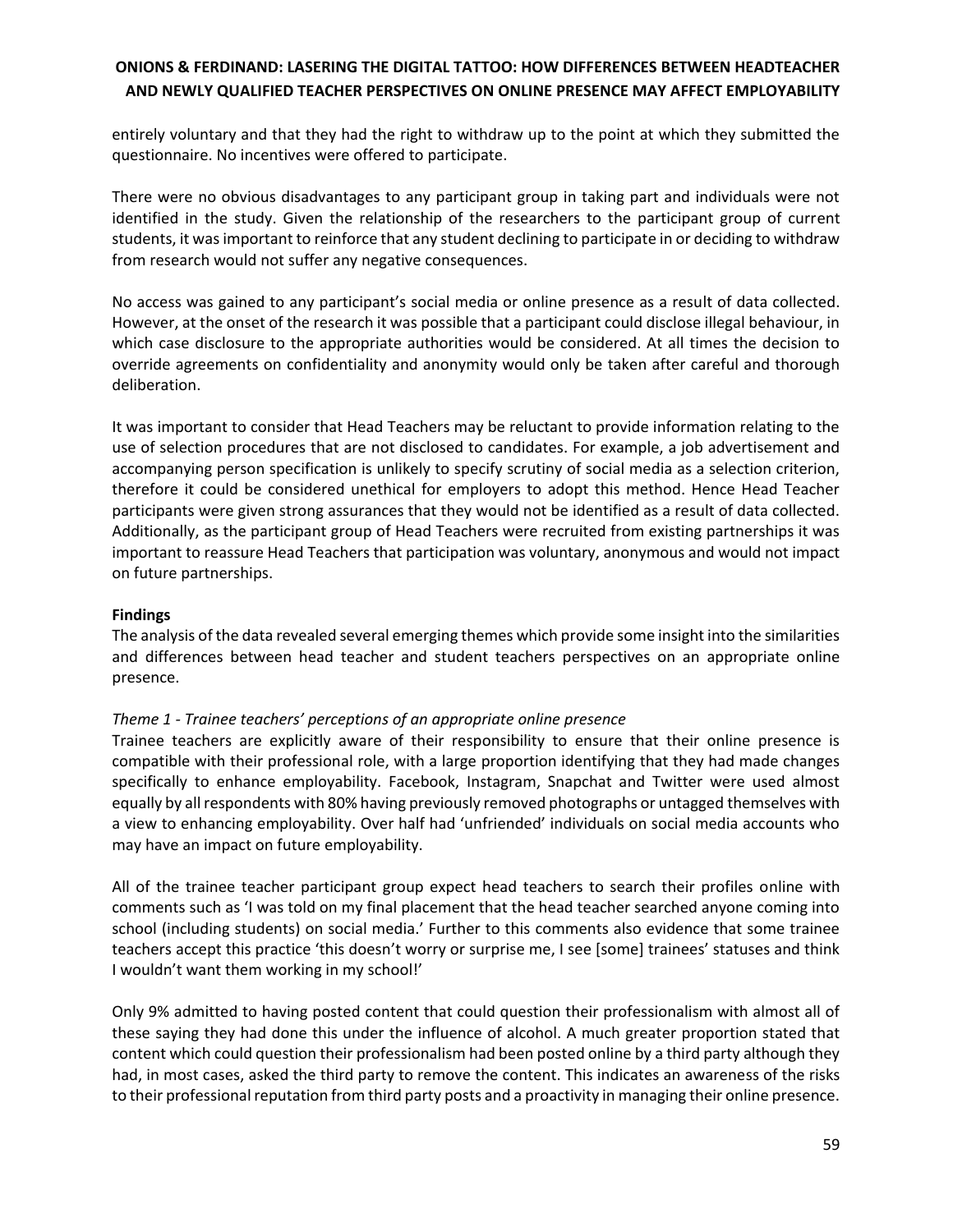entirely voluntary and that they had the right to withdraw up to the point at which they submitted the questionnaire. No incentives were offered to participate.

There were no obvious disadvantages to any participant group in taking part and individuals were not identified in the study. Given the relationship of the researchers to the participant group of current students, it was important to reinforce that any student declining to participate in or deciding to withdraw from research would not suffer any negative consequences.

No access was gained to any participant's social media or online presence as a result of data collected. However, at the onset of the research it was possible that a participant could disclose illegal behaviour, in which case disclosure to the appropriate authorities would be considered. At all times the decision to override agreements on confidentiality and anonymity would only be taken after careful and thorough deliberation.

It was important to consider that Head Teachers may be reluctant to provide information relating to the use of selection procedures that are not disclosed to candidates. For example, a job advertisement and accompanying person specification is unlikely to specify scrutiny of social media as a selection criterion, therefore it could be considered unethical for employers to adopt this method. Hence Head Teacher participants were given strong assurances that they would not be identified as a result of data collected. Additionally, as the participant group of Head Teachers were recruited from existing partnerships it was important to reassure Head Teachers that participation was voluntary, anonymous and would not impact on future partnerships.

#### **Findings**

The analysis of the data revealed several emerging themes which provide some insight into the similarities and differences between head teacher and student teachers perspectives on an appropriate online presence.

### *Theme 1 - Trainee teachers' perceptions of an appropriate online presence*

Trainee teachers are explicitly aware of their responsibility to ensure that their online presence is compatible with their professional role, with a large proportion identifying that they had made changes specifically to enhance employability. Facebook, Instagram, Snapchat and Twitter were used almost equally by all respondents with 80% having previously removed photographs or untagged themselves with a view to enhancing employability. Over half had 'unfriended' individuals on social media accounts who may have an impact on future employability.

All of the trainee teacher participant group expect head teachers to search their profiles online with comments such as 'I was told on my final placement that the head teacher searched anyone coming into school (including students) on social media.' Further to this comments also evidence that some trainee teachers accept this practice 'this doesn't worry or surprise me, I see [some] trainees' statuses and think I wouldn't want them working in my school!'

Only 9% admitted to having posted content that could question their professionalism with almost all of these saying they had done this under the influence of alcohol. A much greater proportion stated that content which could question their professionalism had been posted online by a third party although they had, in most cases, asked the third party to remove the content. This indicates an awareness of the risks to their professional reputation from third party posts and a proactivity in managing their online presence.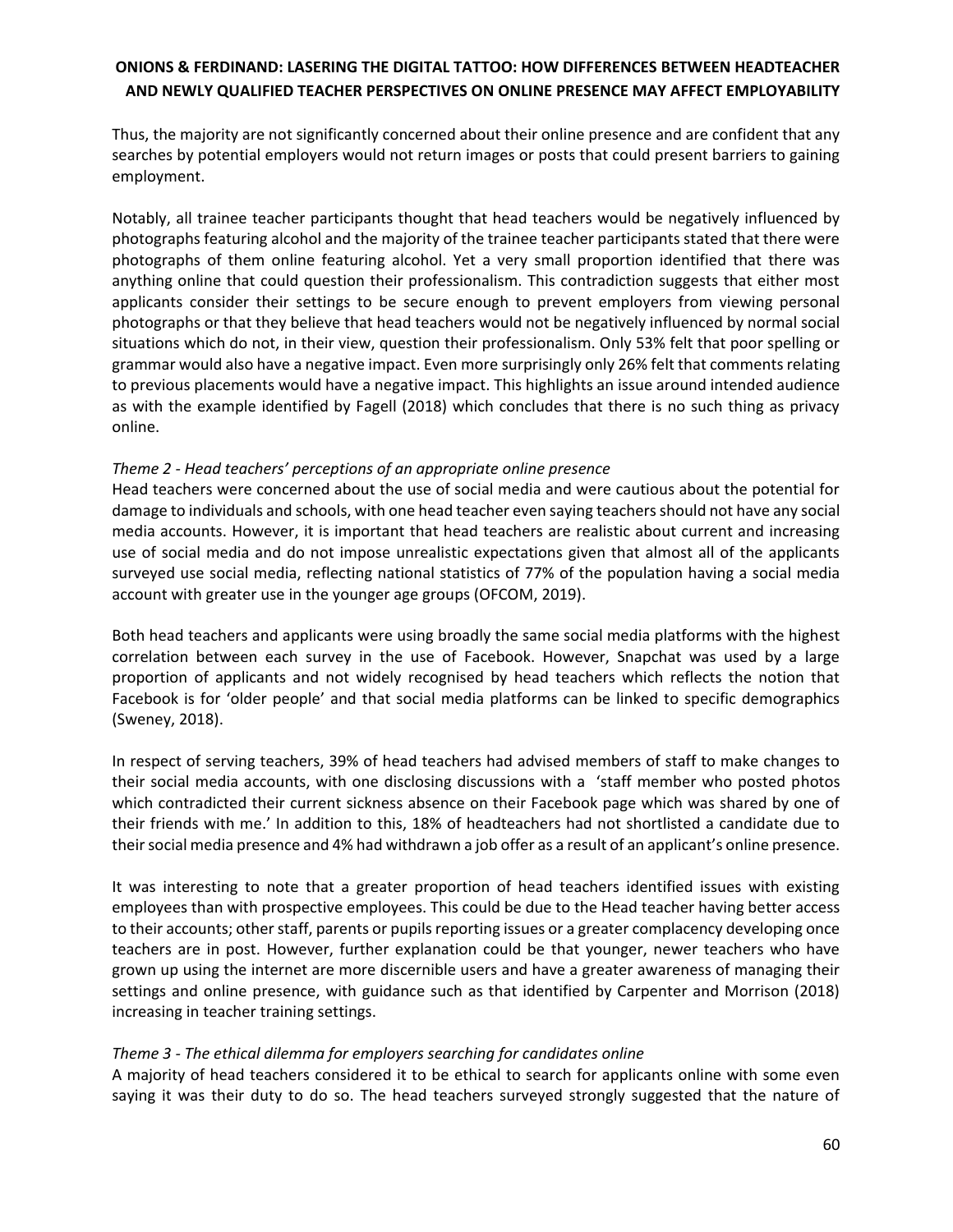Thus, the majority are not significantly concerned about their online presence and are confident that any searches by potential employers would not return images or posts that could present barriers to gaining employment.

Notably, all trainee teacher participants thought that head teachers would be negatively influenced by photographs featuring alcohol and the majority of the trainee teacher participants stated that there were photographs of them online featuring alcohol. Yet a very small proportion identified that there was anything online that could question their professionalism. This contradiction suggests that either most applicants consider their settings to be secure enough to prevent employers from viewing personal photographs or that they believe that head teachers would not be negatively influenced by normal social situations which do not, in their view, question their professionalism. Only 53% felt that poor spelling or grammar would also have a negative impact. Even more surprisingly only 26% felt that comments relating to previous placements would have a negative impact. This highlights an issue around intended audience as with the example identified by Fagell (2018) which concludes that there is no such thing as privacy online.

#### *Theme 2 - Head teachers' perceptions of an appropriate online presence*

Head teachers were concerned about the use of social media and were cautious about the potential for damage to individuals and schools, with one head teacher even saying teachers should not have any social media accounts. However, it is important that head teachers are realistic about current and increasing use of social media and do not impose unrealistic expectations given that almost all of the applicants surveyed use social media, reflecting national statistics of 77% of the population having a social media account with greater use in the younger age groups (OFCOM, 2019).

Both head teachers and applicants were using broadly the same social media platforms with the highest correlation between each survey in the use of Facebook. However, Snapchat was used by a large proportion of applicants and not widely recognised by head teachers which reflects the notion that Facebook is for 'older people' and that social media platforms can be linked to specific demographics (Sweney, 2018).

In respect of serving teachers, 39% of head teachers had advised members of staff to make changes to their social media accounts, with one disclosing discussions with a 'staff member who posted photos which contradicted their current sickness absence on their Facebook page which was shared by one of their friends with me.' In addition to this, 18% of headteachers had not shortlisted a candidate due to their social media presence and 4% had withdrawn a job offer as a result of an applicant's online presence.

It was interesting to note that a greater proportion of head teachers identified issues with existing employees than with prospective employees. This could be due to the Head teacher having better access to their accounts; other staff, parents or pupils reporting issues or a greater complacency developing once teachers are in post. However, further explanation could be that younger, newer teachers who have grown up using the internet are more discernible users and have a greater awareness of managing their settings and online presence, with guidance such as that identified by Carpenter and Morrison (2018) increasing in teacher training settings.

### *Theme 3 - The ethical dilemma for employers searching for candidates online*

A majority of head teachers considered it to be ethical to search for applicants online with some even saying it was their duty to do so. The head teachers surveyed strongly suggested that the nature of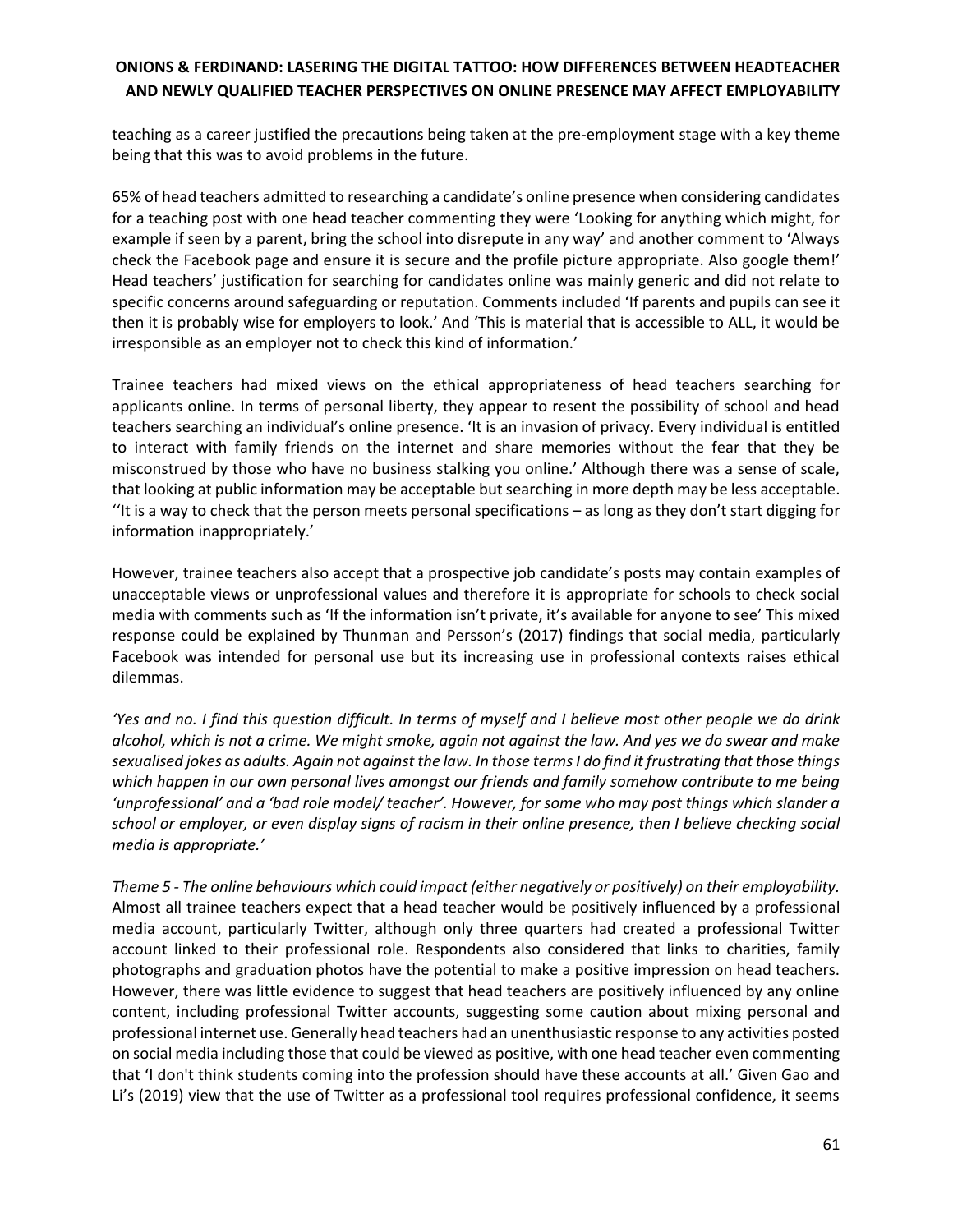teaching as a career justified the precautions being taken at the pre-employment stage with a key theme being that this was to avoid problems in the future.

65% of head teachers admitted to researching a candidate's online presence when considering candidates for a teaching post with one head teacher commenting they were 'Looking for anything which might, for example if seen by a parent, bring the school into disrepute in any way' and another comment to 'Always check the Facebook page and ensure it is secure and the profile picture appropriate. Also google them!' Head teachers' justification for searching for candidates online was mainly generic and did not relate to specific concerns around safeguarding or reputation. Comments included 'If parents and pupils can see it then it is probably wise for employers to look.' And 'This is material that is accessible to ALL, it would be irresponsible as an employer not to check this kind of information.'

Trainee teachers had mixed views on the ethical appropriateness of head teachers searching for applicants online. In terms of personal liberty, they appear to resent the possibility of school and head teachers searching an individual's online presence. 'It is an invasion of privacy. Every individual is entitled to interact with family friends on the internet and share memories without the fear that they be misconstrued by those who have no business stalking you online.' Although there was a sense of scale, that looking at public information may be acceptable but searching in more depth may be less acceptable. ''It is a way to check that the person meets personal specifications – as long as they don't start digging for information inappropriately.'

However, trainee teachers also accept that a prospective job candidate's posts may contain examples of unacceptable views or unprofessional values and therefore it is appropriate for schools to check social media with comments such as 'If the information isn't private, it's available for anyone to see' This mixed response could be explained by Thunman and Persson's (2017) findings that social media, particularly Facebook was intended for personal use but its increasing use in professional contexts raises ethical dilemmas.

*'Yes and no. I find this question difficult. In terms of myself and I believe most other people we do drink alcohol, which is not a crime. We might smoke, again not against the law. And yes we do swear and make sexualised jokes as adults. Again not against the law. In those terms I do find it frustrating that those things which happen in our own personal lives amongst our friends and family somehow contribute to me being 'unprofessional' and a 'bad role model/ teacher'. However, for some who may post things which slander a school or employer, or even display signs of racism in their online presence, then I believe checking social media is appropriate.'*

*Theme 5 - The online behaviours which could impact (either negatively or positively) on their employability.* Almost all trainee teachers expect that a head teacher would be positively influenced by a professional media account, particularly Twitter, although only three quarters had created a professional Twitter account linked to their professional role. Respondents also considered that links to charities, family photographs and graduation photos have the potential to make a positive impression on head teachers. However, there was little evidence to suggest that head teachers are positively influenced by any online content, including professional Twitter accounts, suggesting some caution about mixing personal and professional internet use. Generally head teachers had an unenthusiastic response to any activities posted on social media including those that could be viewed as positive, with one head teacher even commenting that 'I don't think students coming into the profession should have these accounts at all.' Given Gao and Li's (2019) view that the use of Twitter as a professional tool requires professional confidence, it seems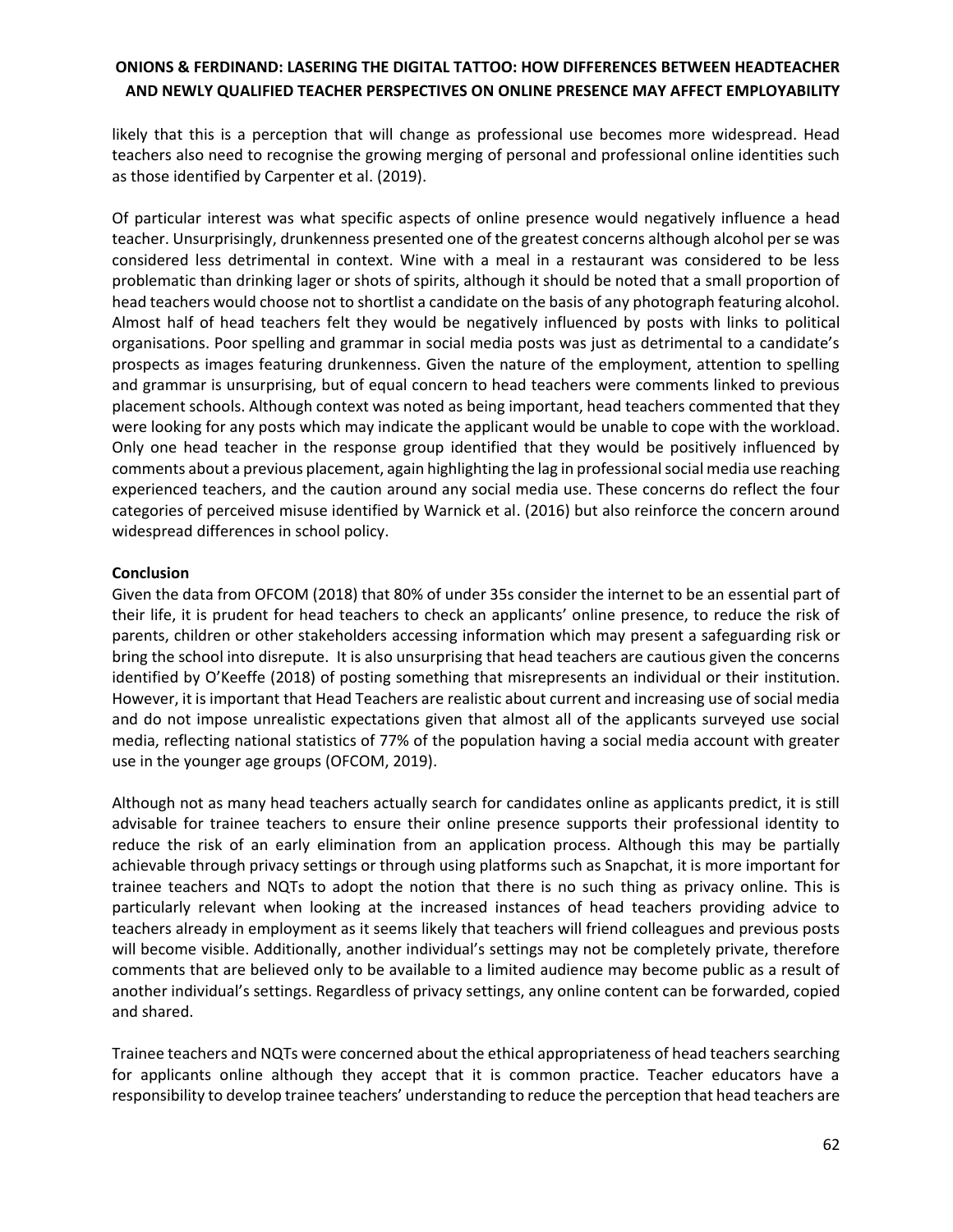likely that this is a perception that will change as professional use becomes more widespread. Head teachers also need to recognise the growing merging of personal and professional online identities such as those identified by Carpenter et al. (2019).

Of particular interest was what specific aspects of online presence would negatively influence a head teacher. Unsurprisingly, drunkenness presented one of the greatest concerns although alcohol per se was considered less detrimental in context. Wine with a meal in a restaurant was considered to be less problematic than drinking lager or shots of spirits, although it should be noted that a small proportion of head teachers would choose not to shortlist a candidate on the basis of any photograph featuring alcohol. Almost half of head teachers felt they would be negatively influenced by posts with links to political organisations. Poor spelling and grammar in social media posts was just as detrimental to a candidate's prospects as images featuring drunkenness. Given the nature of the employment, attention to spelling and grammar is unsurprising, but of equal concern to head teachers were comments linked to previous placement schools. Although context was noted as being important, head teachers commented that they were looking for any posts which may indicate the applicant would be unable to cope with the workload. Only one head teacher in the response group identified that they would be positively influenced by comments about a previous placement, again highlighting the lag in professional social media use reaching experienced teachers, and the caution around any social media use. These concerns do reflect the four categories of perceived misuse identified by Warnick et al. (2016) but also reinforce the concern around widespread differences in school policy.

### **Conclusion**

Given the data from OFCOM (2018) that 80% of under 35s consider the internet to be an essential part of their life, it is prudent for head teachers to check an applicants' online presence, to reduce the risk of parents, children or other stakeholders accessing information which may present a safeguarding risk or bring the school into disrepute. It is also unsurprising that head teachers are cautious given the concerns identified by O'Keeffe (2018) of posting something that misrepresents an individual or their institution. However, it is important that Head Teachers are realistic about current and increasing use of social media and do not impose unrealistic expectations given that almost all of the applicants surveyed use social media, reflecting national statistics of 77% of the population having a social media account with greater use in the younger age groups (OFCOM, 2019).

Although not as many head teachers actually search for candidates online as applicants predict, it is still advisable for trainee teachers to ensure their online presence supports their professional identity to reduce the risk of an early elimination from an application process. Although this may be partially achievable through privacy settings or through using platforms such as Snapchat, it is more important for trainee teachers and NQTs to adopt the notion that there is no such thing as privacy online. This is particularly relevant when looking at the increased instances of head teachers providing advice to teachers already in employment as it seems likely that teachers will friend colleagues and previous posts will become visible. Additionally, another individual's settings may not be completely private, therefore comments that are believed only to be available to a limited audience may become public as a result of another individual's settings. Regardless of privacy settings, any online content can be forwarded, copied and shared.

Trainee teachers and NQTs were concerned about the ethical appropriateness of head teachers searching for applicants online although they accept that it is common practice. Teacher educators have a responsibility to develop trainee teachers' understanding to reduce the perception that head teachers are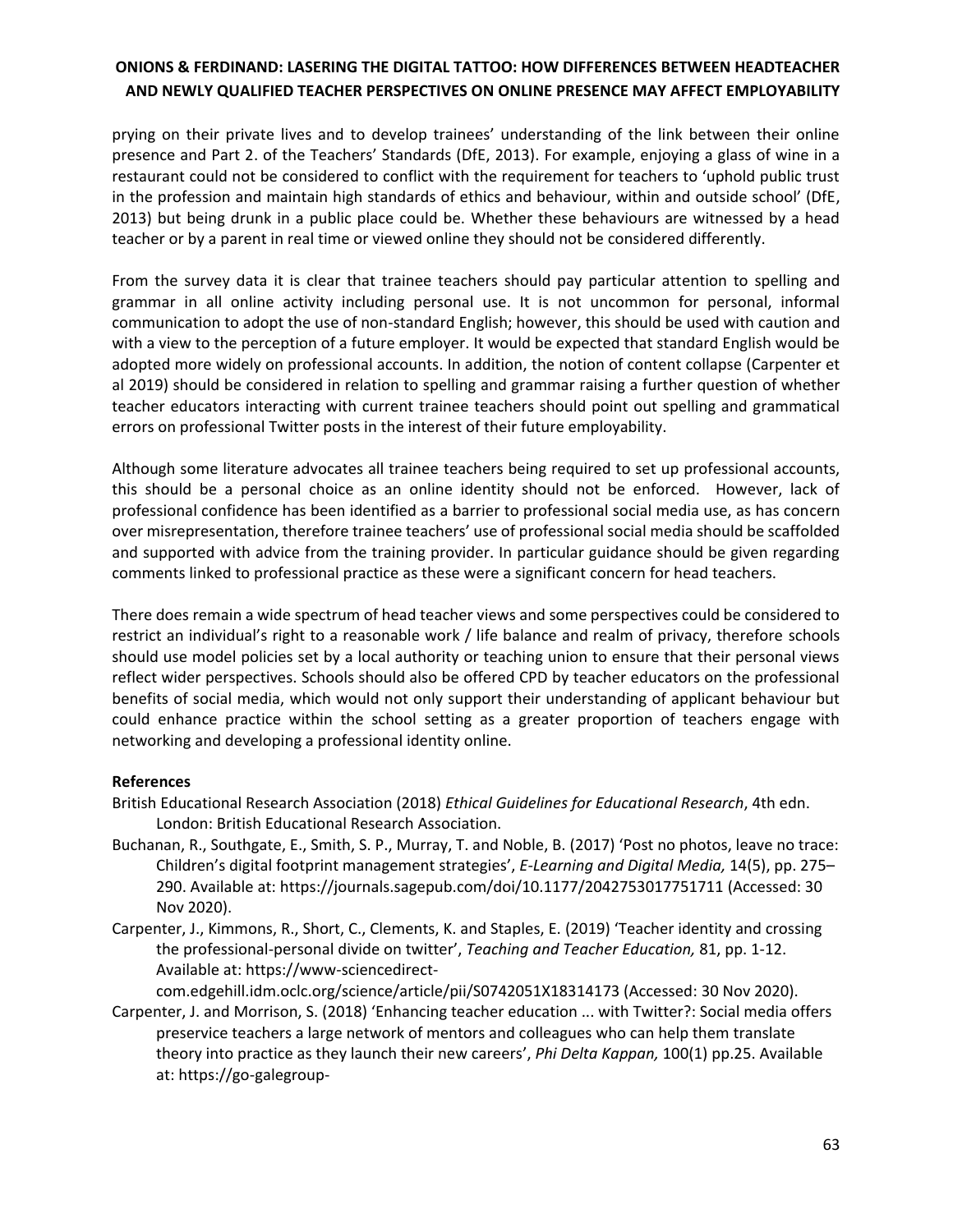prying on their private lives and to develop trainees' understanding of the link between their online presence and Part 2. of the Teachers' Standards (DfE, 2013). For example, enjoying a glass of wine in a restaurant could not be considered to conflict with the requirement for teachers to 'uphold public trust in the profession and maintain high standards of ethics and behaviour, within and outside school' (DfE, 2013) but being drunk in a public place could be. Whether these behaviours are witnessed by a head teacher or by a parent in real time or viewed online they should not be considered differently.

From the survey data it is clear that trainee teachers should pay particular attention to spelling and grammar in all online activity including personal use. It is not uncommon for personal, informal communication to adopt the use of non-standard English; however, this should be used with caution and with a view to the perception of a future employer. It would be expected that standard English would be adopted more widely on professional accounts. In addition, the notion of content collapse (Carpenter et al 2019) should be considered in relation to spelling and grammar raising a further question of whether teacher educators interacting with current trainee teachers should point out spelling and grammatical errors on professional Twitter posts in the interest of their future employability.

Although some literature advocates all trainee teachers being required to set up professional accounts, this should be a personal choice as an online identity should not be enforced. However, lack of professional confidence has been identified as a barrier to professional social media use, as has concern over misrepresentation, therefore trainee teachers' use of professional social media should be scaffolded and supported with advice from the training provider. In particular guidance should be given regarding comments linked to professional practice as these were a significant concern for head teachers.

There does remain a wide spectrum of head teacher views and some perspectives could be considered to restrict an individual's right to a reasonable work / life balance and realm of privacy, therefore schools should use model policies set by a local authority or teaching union to ensure that their personal views reflect wider perspectives. Schools should also be offered CPD by teacher educators on the professional benefits of social media, which would not only support their understanding of applicant behaviour but could enhance practice within the school setting as a greater proportion of teachers engage with networking and developing a professional identity online.

### **References**

- British Educational Research Association (2018) *Ethical Guidelines for Educational Research*, 4th edn. London: British Educational Research Association.
- Buchanan, R., Southgate, E., Smith, S. P., Murray, T. and Noble, B. (2017) 'Post no photos, leave no trace: Children's digital footprint management strategies', *E-Learning and Digital Media,* 14(5), pp. 275– 290. Available at:<https://journals.sagepub.com/doi/10.1177/2042753017751711> (Accessed: 30 Nov 2020).
- Carpenter, J., Kimmons, R., Short, C., Clements, K. and Staples, E. (2019) 'Teacher identity and crossing the professional-personal divide on twitter', *Teaching and Teacher Education,* 81, pp. 1-12. Available at: https://www-sciencedirect-

com.edgehill.idm.oclc.org/science/article/pii/S0742051X18314173 (Accessed: 30 Nov 2020).

Carpenter, J. and Morrison, S. (2018) 'Enhancing teacher education ... with Twitter?: Social media offers preservice teachers a large network of mentors and colleagues who can help them translate theory into practice as they launch their new careers', *Phi Delta Kappan,* 100(1) pp.25. Available at: https://go-galegroup-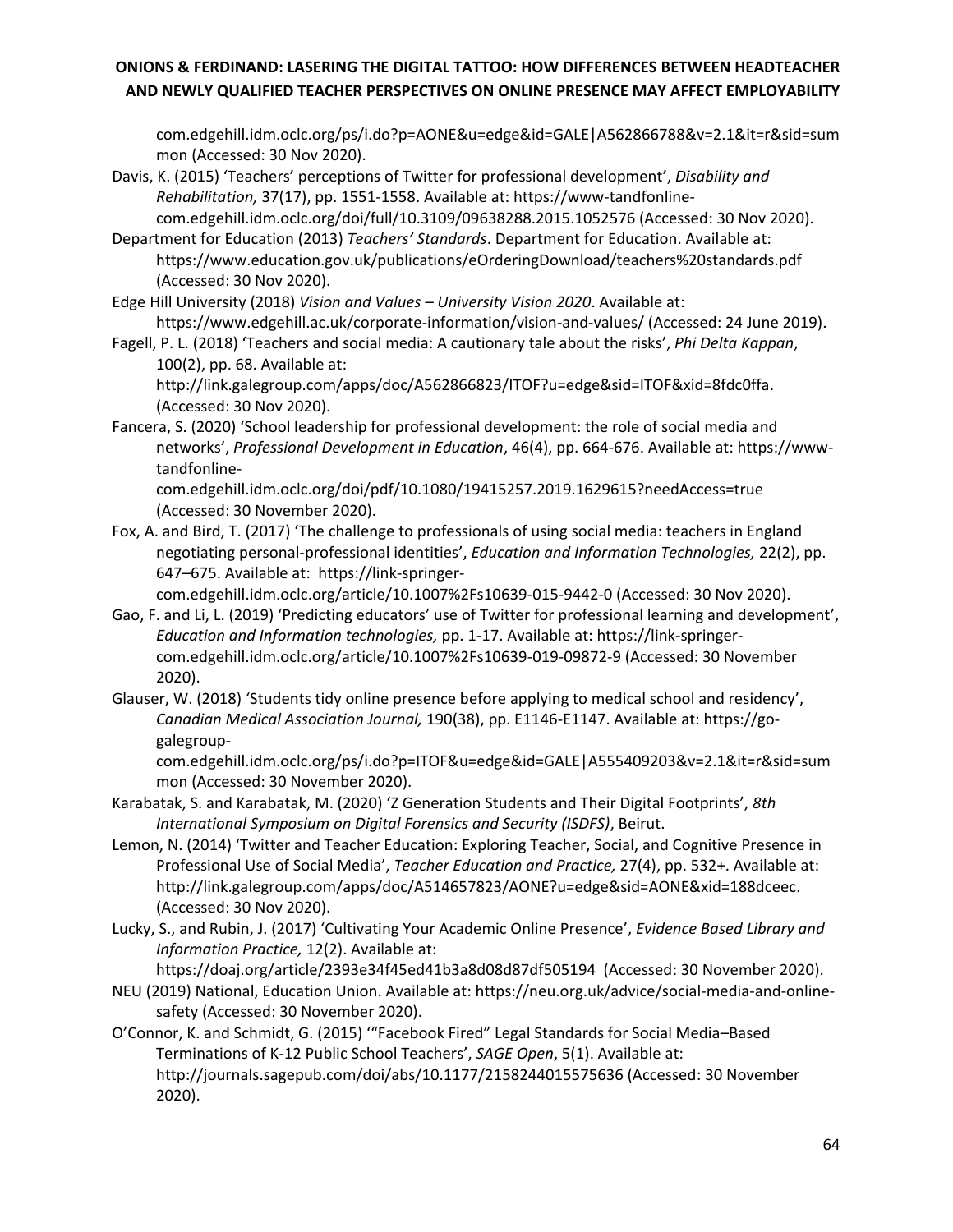com.edgehill.idm.oclc.org/ps/i.do?p=AONE&u=edge&id=GALE|A562866788&v=2.1&it=r&sid=sum mon (Accessed: 30 Nov 2020).

- Davis, K. (2015) 'Teachers' perceptions of Twitter for professional development', *Disability and Rehabilitation,* 37(17), pp. 1551-1558. Available at: https://www-tandfonlinecom.edgehill.idm.oclc.org/doi/full/10.3109/09638288.2015.1052576 (Accessed: 30 Nov 2020).
- Department for Education (2013) *Teachers' Standards*. Department for Education. Available at: https://www.education.gov.uk/publications/eOrderingDownload/teachers%20standards.pdf (Accessed: 30 Nov 2020).
- Edge Hill University (2018) *Vision and Values – University Vision 2020*. Available at: https://www.edgehill.ac.uk/corporate-information/vision-and-values/ (Accessed: 24 June 2019).
- Fagell, P. L. (2018) 'Teachers and social media: A cautionary tale about the risks', *Phi Delta Kappan*, 100(2), pp. 68. Available at:

http://link.galegroup.com/apps/doc/A562866823/ITOF?u=edge&sid=ITOF&xid=8fdc0ffa. (Accessed: 30 Nov 2020).

Fancera, S. (2020) 'School leadership for professional development: the role of social media and networks', *Professional Development in Education*, 46(4), pp. 664-676. Available at: [https://www](https://www-tandfonline-com.edgehill.idm.oclc.org/doi/pdf/10.1080/19415257.2019.1629615?needAccess=true)[tandfonline-](https://www-tandfonline-com.edgehill.idm.oclc.org/doi/pdf/10.1080/19415257.2019.1629615?needAccess=true)

[com.edgehill.idm.oclc.org/doi/pdf/10.1080/19415257.2019.1629615?needAccess=true](https://www-tandfonline-com.edgehill.idm.oclc.org/doi/pdf/10.1080/19415257.2019.1629615?needAccess=true) (Accessed: 30 November 2020).

Fox, A. and Bird, T. (2017) 'The challenge to professionals of using social media: teachers in England negotiating personal-professional identities', *Education and Information Technologies,* 22(2), pp. 647–675. Available at: https://link-springer-

com.edgehill.idm.oclc.org/article/10.1007%2Fs10639-015-9442-0 (Accessed: 30 Nov 2020).

- Gao, F. and Li, L. (2019) 'Predicting educators' use of Twitter for professional learning and development', *Education and Information technologies,* pp. 1-17. Available at[: https://link-springer](https://link-springer-com.edgehill.idm.oclc.org/article/10.1007%2Fs10639-019-09872-9)[com.edgehill.idm.oclc.org/article/10.1007%2Fs10639-019-09872-9](https://link-springer-com.edgehill.idm.oclc.org/article/10.1007%2Fs10639-019-09872-9) (Accessed: 30 November 2020).
- Glauser, W. (2018) 'Students tidy online presence before applying to medical school and residency', *Canadian Medical Association Journal,* 190(38), pp. E1146-E1147. Available at: https://gogalegroup-

com.edgehill.idm.oclc.org/ps/i.do?p=ITOF&u=edge&id=GALE|A555409203&v=2.1&it=r&sid=sum mon (Accessed: 30 November 2020).

- Karabatak, S. and Karabatak, M. (2020) 'Z Generation Students and Their Digital Footprints', *8th International Symposium on Digital Forensics and Security (ISDFS)*, Beirut.
- Lemon, N. (2014) 'Twitter and Teacher Education: Exploring Teacher, Social, and Cognitive Presence in Professional Use of Social Media', *Teacher Education and Practice,* 27(4), pp. 532+. Available at: http://link.galegroup.com/apps/doc/A514657823/AONE?u=edge&sid=AONE&xid=188dceec. (Accessed: 30 Nov 2020).
- Lucky, S., and Rubin, J. (2017) 'Cultivating Your Academic Online Presence', *Evidence Based Library and Information Practice,* 12(2). Available at:

https://doaj.org/article/2393e34f45ed41b3a8d08d87df505194 (Accessed: 30 November 2020).

- NEU (2019) National, Education Union. Available at: https://neu.org.uk/advice/social-media-and-onlinesafety (Accessed: 30 November 2020).
- O'Connor, K. and Schmidt, G. (2015) '"Facebook Fired" Legal Standards for Social Media–Based Terminations of K-12 Public School Teachers', *SAGE Open*, 5(1). Available at: http://journals.sagepub.com/doi/abs/10.1177/2158244015575636 (Accessed: 30 November 2020).